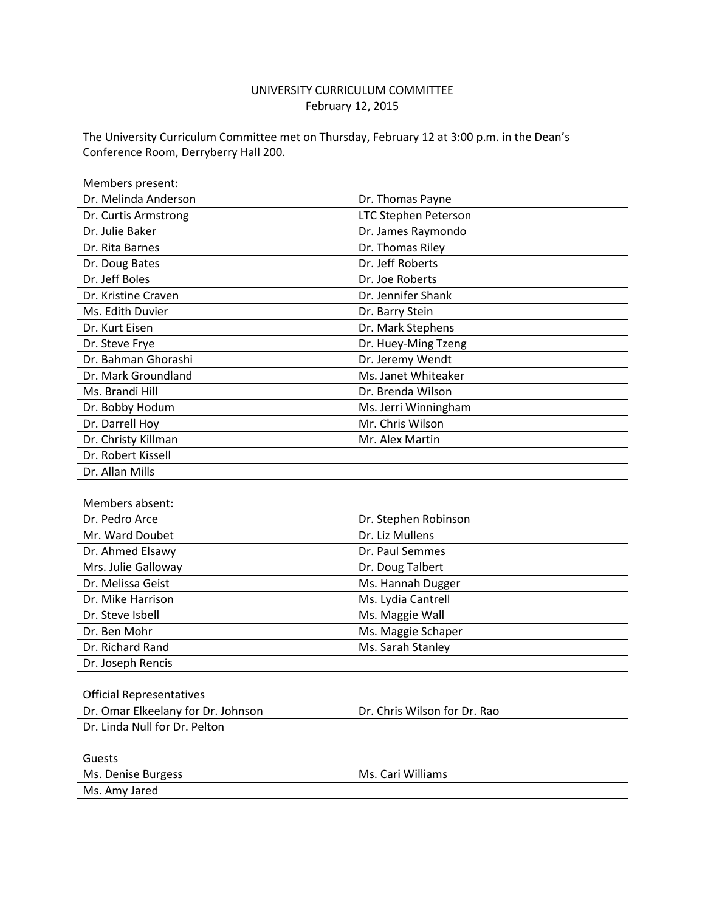# UNIVERSITY CURRICULUM COMMITTEE February 12, 2015

The University Curriculum Committee met on Thursday, February 12 at 3:00 p.m. in the Dean's Conference Room, Derryberry Hall 200.

| Members present:     |                             |
|----------------------|-----------------------------|
| Dr. Melinda Anderson | Dr. Thomas Payne            |
| Dr. Curtis Armstrong | <b>LTC Stephen Peterson</b> |
| Dr. Julie Baker      | Dr. James Raymondo          |
| Dr. Rita Barnes      | Dr. Thomas Riley            |
| Dr. Doug Bates       | Dr. Jeff Roberts            |
| Dr. Jeff Boles       | Dr. Joe Roberts             |
| Dr. Kristine Craven  | Dr. Jennifer Shank          |
| Ms. Edith Duvier     | Dr. Barry Stein             |
| Dr. Kurt Eisen       | Dr. Mark Stephens           |
| Dr. Steve Frye       | Dr. Huey-Ming Tzeng         |
| Dr. Bahman Ghorashi  | Dr. Jeremy Wendt            |
| Dr. Mark Groundland  | Ms. Janet Whiteaker         |
| Ms. Brandi Hill      | Dr. Brenda Wilson           |
| Dr. Bobby Hodum      | Ms. Jerri Winningham        |
| Dr. Darrell Hoy      | Mr. Chris Wilson            |
| Dr. Christy Killman  | Mr. Alex Martin             |
| Dr. Robert Kissell   |                             |
| Dr. Allan Mills      |                             |

Members absent:

| Dr. Pedro Arce      | Dr. Stephen Robinson |
|---------------------|----------------------|
| Mr. Ward Doubet     | Dr. Liz Mullens      |
| Dr. Ahmed Elsawy    | Dr. Paul Semmes      |
| Mrs. Julie Galloway | Dr. Doug Talbert     |
| Dr. Melissa Geist   | Ms. Hannah Dugger    |
| Dr. Mike Harrison   | Ms. Lydia Cantrell   |
| Dr. Steve Isbell    | Ms. Maggie Wall      |
| Dr. Ben Mohr        | Ms. Maggie Schaper   |
| Dr. Richard Rand    | Ms. Sarah Stanley    |
| Dr. Joseph Rencis   |                      |

#### Official Representatives

| Dr. Omar Elkeelany for Dr. Johnson | Dr. Chris Wilson for Dr. Rao |
|------------------------------------|------------------------------|
| Dr. Linda Null for Dr. Pelton      |                              |

Guests

| Ms. Denise Burgess | Ms. Cari Williams |
|--------------------|-------------------|
| Ms. Amy Jared      |                   |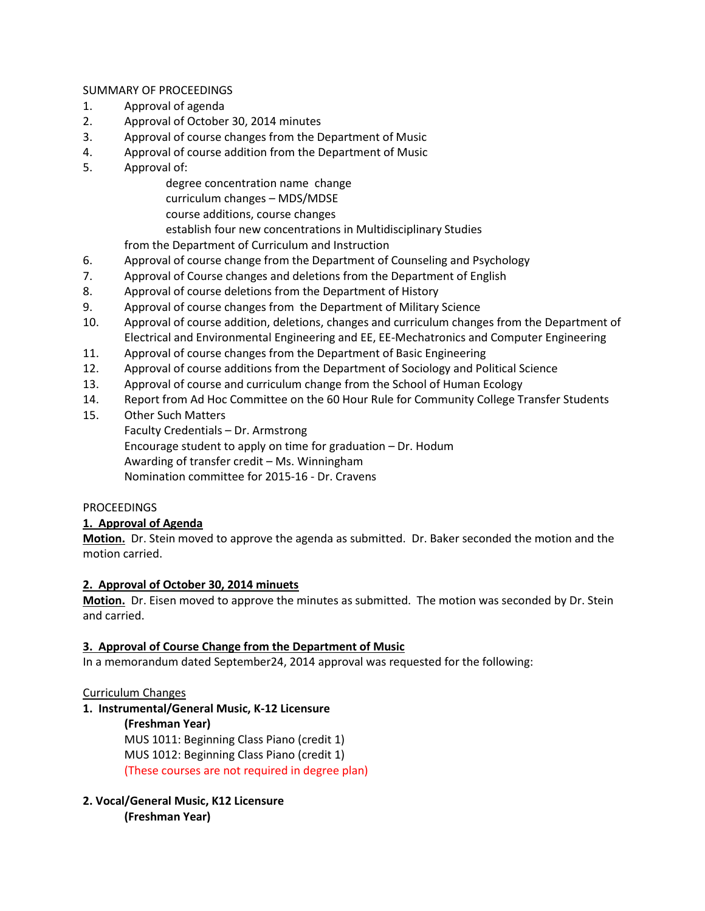## SUMMARY OF PROCEEDINGS

- 1. Approval of agenda
- 2. Approval of October 30, 2014 minutes
- 3. Approval of course changes from the Department of Music
- 4. Approval of course addition from the Department of Music
- 5. Approval of:

degree concentration name change

- curriculum changes MDS/MDSE
- course additions, course changes

establish four new concentrations in Multidisciplinary Studies

from the Department of Curriculum and Instruction

- 6. Approval of course change from the Department of Counseling and Psychology
- 7. Approval of Course changes and deletions from the Department of English
- 8. Approval of course deletions from the Department of History
- 9. Approval of course changes from the Department of Military Science
- 10. Approval of course addition, deletions, changes and curriculum changes from the Department of Electrical and Environmental Engineering and EE, EE-Mechatronics and Computer Engineering
- 11. Approval of course changes from the Department of Basic Engineering
- 12. Approval of course additions from the Department of Sociology and Political Science
- 13. Approval of course and curriculum change from the School of Human Ecology
- 14. Report from Ad Hoc Committee on the 60 Hour Rule for Community College Transfer Students
- 15. Other Such Matters

Faculty Credentials – Dr. Armstrong Encourage student to apply on time for graduation – Dr. Hodum Awarding of transfer credit – Ms. Winningham Nomination committee for 2015-16 - Dr. Cravens

# **PROCEEDINGS**

# **1. Approval of Agenda**

**Motion.** Dr. Stein moved to approve the agenda as submitted. Dr. Baker seconded the motion and the motion carried.

# **2. Approval of October 30, 2014 minuets**

**Motion.** Dr. Eisen moved to approve the minutes as submitted. The motion was seconded by Dr. Stein and carried.

# **3. Approval of Course Change from the Department of Music**

In a memorandum dated September24, 2014 approval was requested for the following:

# Curriculum Changes

**1. Instrumental/General Music, K-12 Licensure**

## **(Freshman Year)**

MUS 1011: Beginning Class Piano (credit 1) MUS 1012: Beginning Class Piano (credit 1) (These courses are not required in degree plan)

# **2. Vocal/General Music, K12 Licensure**

**(Freshman Year)**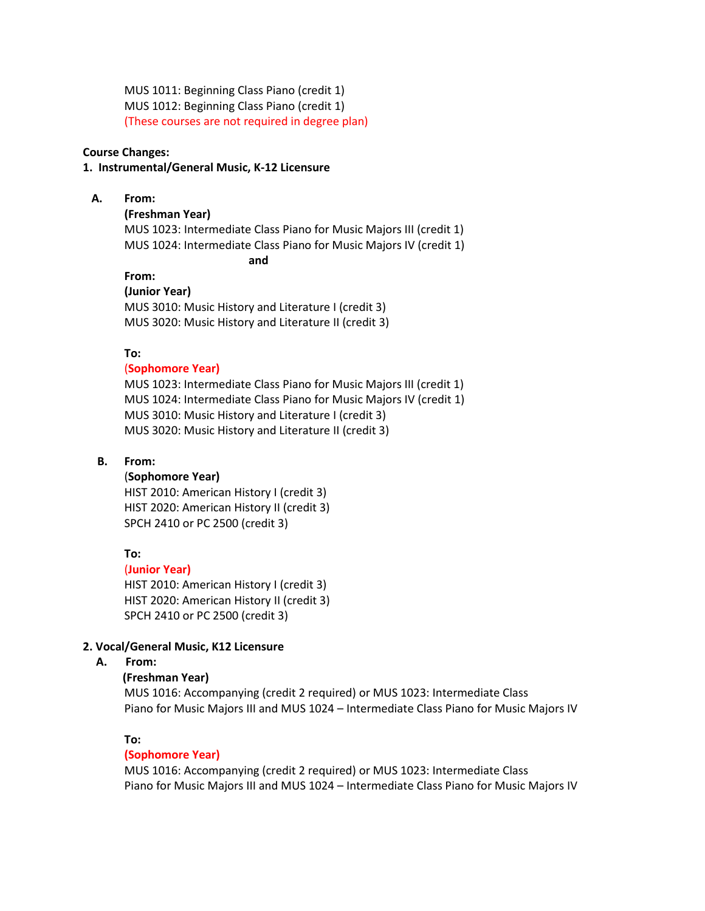MUS 1011: Beginning Class Piano (credit 1) MUS 1012: Beginning Class Piano (credit 1) (These courses are not required in degree plan)

#### **Course Changes:**

#### **1. Instrumental/General Music, K-12 Licensure**

#### **A. From:**

#### **(Freshman Year)**

MUS 1023: Intermediate Class Piano for Music Majors III (credit 1) MUS 1024: Intermediate Class Piano for Music Majors IV (credit 1) **and**

# **From:**

**(Junior Year)** MUS 3010: Music History and Literature I (credit 3) MUS 3020: Music History and Literature II (credit 3)

#### **To:**

## (**Sophomore Year)**

MUS 1023: Intermediate Class Piano for Music Majors III (credit 1) MUS 1024: Intermediate Class Piano for Music Majors IV (credit 1) MUS 3010: Music History and Literature I (credit 3) MUS 3020: Music History and Literature II (credit 3)

#### **B. From:**

#### (**Sophomore Year)**

HIST 2010: American History I (credit 3) HIST 2020: American History II (credit 3) SPCH 2410 or PC 2500 (credit 3)

## **To:**

#### (**Junior Year)**

HIST 2010: American History I (credit 3) HIST 2020: American History II (credit 3) SPCH 2410 or PC 2500 (credit 3)

#### **2. Vocal/General Music, K12 Licensure**

## **A. From:**

## **(Freshman Year)**

MUS 1016: Accompanying (credit 2 required) or MUS 1023: Intermediate Class Piano for Music Majors III and MUS 1024 – Intermediate Class Piano for Music Majors IV

# **To:**

#### **(Sophomore Year)**

MUS 1016: Accompanying (credit 2 required) or MUS 1023: Intermediate Class Piano for Music Majors III and MUS 1024 – Intermediate Class Piano for Music Majors IV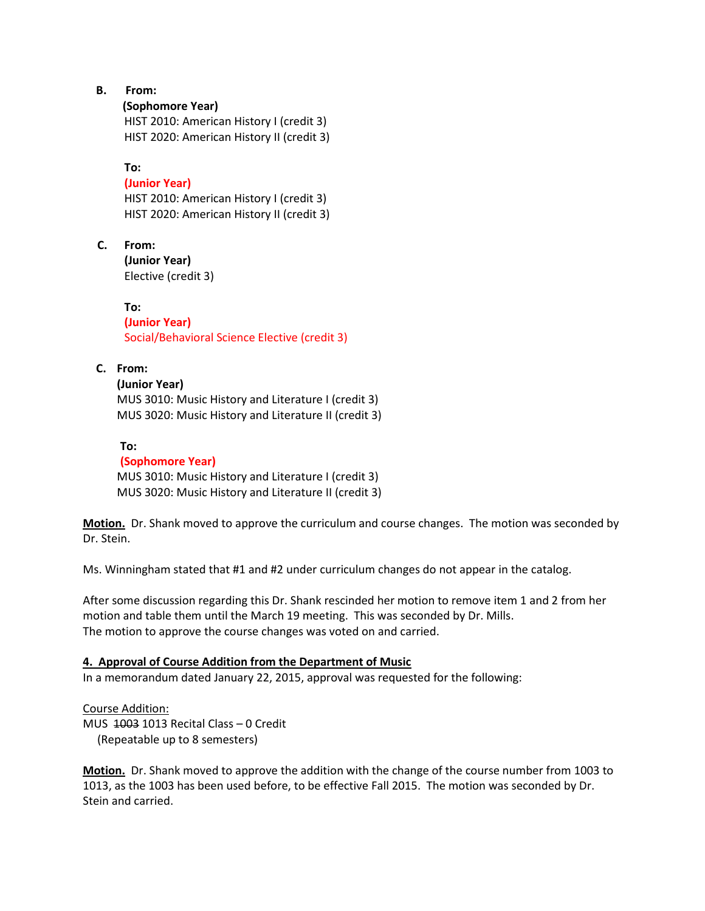- **B. From:**
	- **(Sophomore Year)**

HIST 2010: American History I (credit 3) HIST 2020: American History II (credit 3)

**To:**

## **(Junior Year)**

HIST 2010: American History I (credit 3) HIST 2020: American History II (credit 3)

 **C. From: (Junior Year)**

Elective (credit 3)

**To: (Junior Year)** Social/Behavioral Science Elective (credit 3)

## **C. From:**

#### **(Junior Year)**

MUS 3010: Music History and Literature I (credit 3) MUS 3020: Music History and Literature II (credit 3)

#### **To:**

 **(Sophomore Year)** MUS 3010: Music History and Literature I (credit 3) MUS 3020: Music History and Literature II (credit 3)

**Motion.** Dr. Shank moved to approve the curriculum and course changes. The motion was seconded by Dr. Stein.

Ms. Winningham stated that #1 and #2 under curriculum changes do not appear in the catalog.

After some discussion regarding this Dr. Shank rescinded her motion to remove item 1 and 2 from her motion and table them until the March 19 meeting. This was seconded by Dr. Mills. The motion to approve the course changes was voted on and carried.

## **4. Approval of Course Addition from the Department of Music**

In a memorandum dated January 22, 2015, approval was requested for the following:

Course Addition: MUS 1003 1013 Recital Class – 0 Credit (Repeatable up to 8 semesters)

**Motion.** Dr. Shank moved to approve the addition with the change of the course number from 1003 to 1013, as the 1003 has been used before, to be effective Fall 2015. The motion was seconded by Dr. Stein and carried.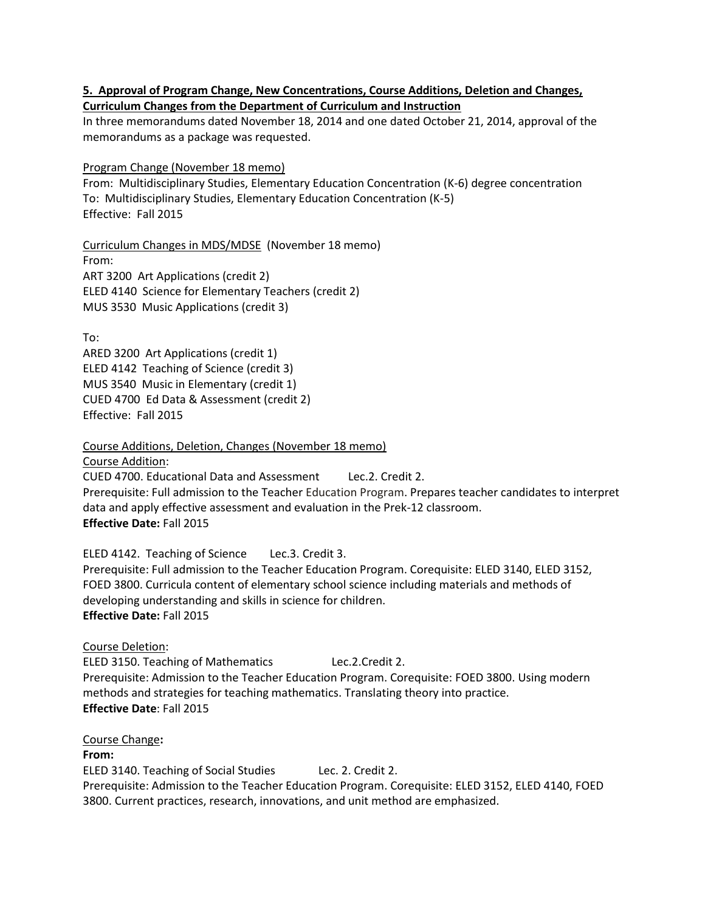## **5. Approval of Program Change, New Concentrations, Course Additions, Deletion and Changes, Curriculum Changes from the Department of Curriculum and Instruction**

In three memorandums dated November 18, 2014 and one dated October 21, 2014, approval of the memorandums as a package was requested.

Program Change (November 18 memo)

From: Multidisciplinary Studies, Elementary Education Concentration (K-6) degree concentration To: Multidisciplinary Studies, Elementary Education Concentration (K-5) Effective: Fall 2015

Curriculum Changes in MDS/MDSE (November 18 memo) From: ART 3200 Art Applications (credit 2) ELED 4140 Science for Elementary Teachers (credit 2) MUS 3530 Music Applications (credit 3)

To:

ARED 3200 Art Applications (credit 1) ELED 4142 Teaching of Science (credit 3) MUS 3540 Music in Elementary (credit 1) CUED 4700 Ed Data & Assessment (credit 2) Effective: Fall 2015

Course Additions, Deletion, Changes (November 18 memo)

Course Addition: CUED 4700. Educational Data and Assessment Lec.2. Credit 2. Prerequisite: Full admission to the Teacher Education Program. Prepares teacher candidates to interpret data and apply effective assessment and evaluation in the Prek-12 classroom. **Effective Date:** Fall 2015

ELED 4142. Teaching of Science Lec.3. Credit 3. Prerequisite: Full admission to the Teacher Education Program. Corequisite: ELED 3140, ELED 3152, FOED 3800. Curricula content of elementary school science including materials and methods of developing understanding and skills in science for children. **Effective Date:** Fall 2015

Course Deletion:

ELED 3150. Teaching of Mathematics Lec.2.Credit 2. Prerequisite: Admission to the Teacher Education Program. Corequisite: FOED 3800. Using modern methods and strategies for teaching mathematics. Translating theory into practice. **Effective Date**: Fall 2015

Course Change**:**

**From:**

ELED 3140. Teaching of Social Studies Lec. 2. Credit 2. Prerequisite: Admission to the Teacher Education Program. Corequisite: ELED 3152, ELED 4140, FOED 3800. Current practices, research, innovations, and unit method are emphasized.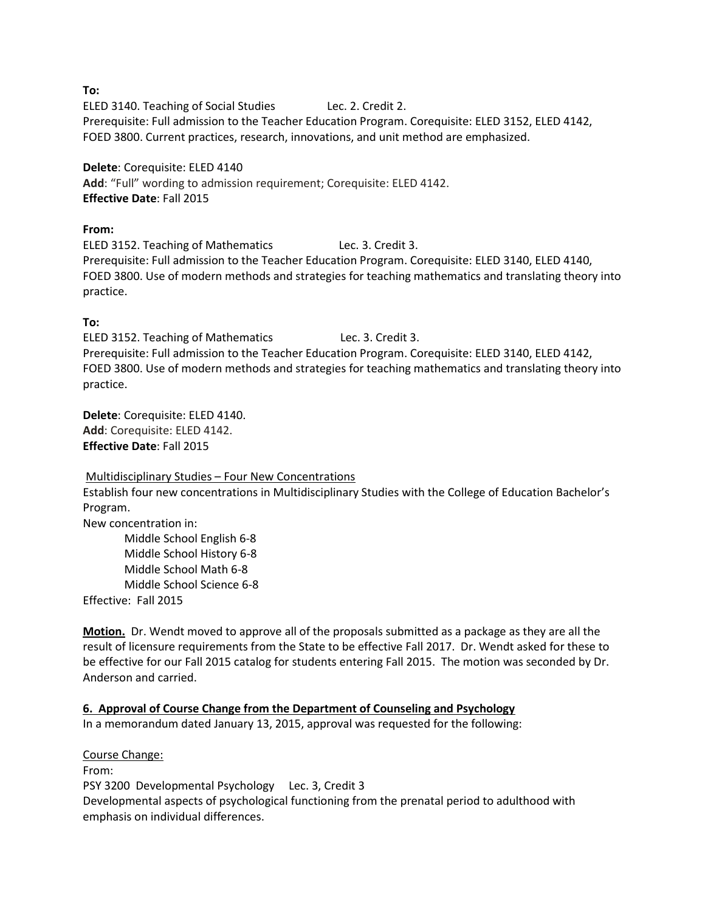**To:**

ELED 3140. Teaching of Social Studies Lec. 2. Credit 2. Prerequisite: Full admission to the Teacher Education Program. Corequisite: ELED 3152, ELED 4142, FOED 3800. Current practices, research, innovations, and unit method are emphasized.

**Delete**: Corequisite: ELED 4140 **Add**: "Full" wording to admission requirement; Corequisite: ELED 4142. **Effective Date**: Fall 2015

## **From:**

ELED 3152. Teaching of Mathematics Lec. 3. Credit 3. Prerequisite: Full admission to the Teacher Education Program. Corequisite: ELED 3140, ELED 4140, FOED 3800. Use of modern methods and strategies for teaching mathematics and translating theory into practice.

## **To:**

ELED 3152. Teaching of Mathematics Lec. 3. Credit 3. Prerequisite: Full admission to the Teacher Education Program. Corequisite: ELED 3140, ELED 4142, FOED 3800. Use of modern methods and strategies for teaching mathematics and translating theory into practice.

**Delete**: Corequisite: ELED 4140. **Add**: Corequisite: ELED 4142. **Effective Date**: Fall 2015

#### Multidisciplinary Studies – Four New Concentrations

Establish four new concentrations in Multidisciplinary Studies with the College of Education Bachelor's Program.

New concentration in:

Middle School English 6-8 Middle School History 6-8 Middle School Math 6-8 Middle School Science 6-8 Effective: Fall 2015

**Motion.** Dr. Wendt moved to approve all of the proposals submitted as a package as they are all the result of licensure requirements from the State to be effective Fall 2017. Dr. Wendt asked for these to be effective for our Fall 2015 catalog for students entering Fall 2015. The motion was seconded by Dr. Anderson and carried.

# **6. Approval of Course Change from the Department of Counseling and Psychology**

In a memorandum dated January 13, 2015, approval was requested for the following:

Course Change: From: PSY 3200 Developmental Psychology Lec. 3, Credit 3 Developmental aspects of psychological functioning from the prenatal period to adulthood with emphasis on individual differences.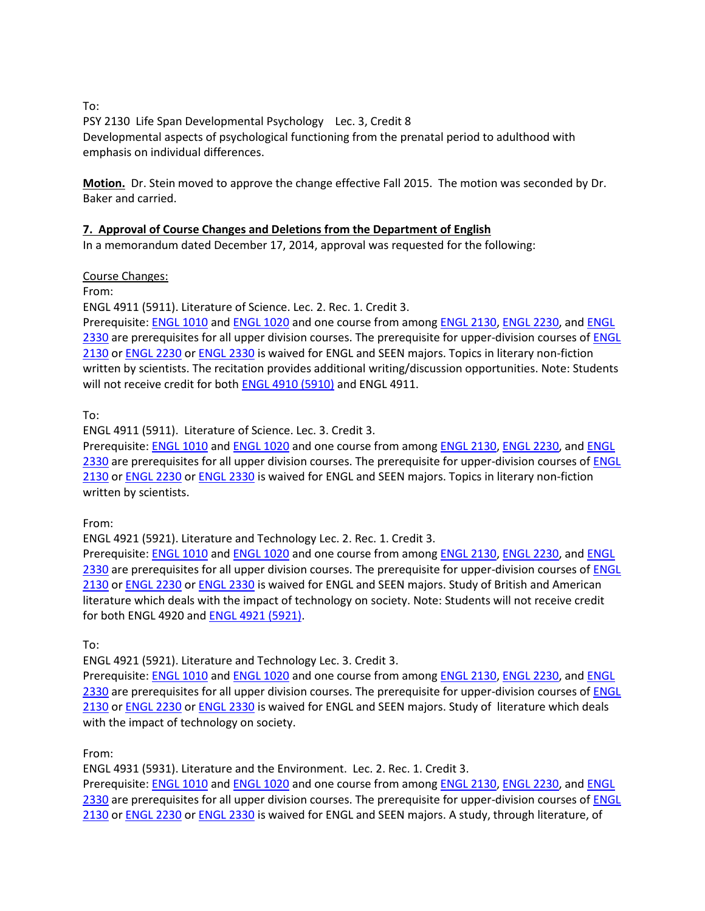To:

PSY 2130 Life Span Developmental Psychology Lec. 3, Credit 8 Developmental aspects of psychological functioning from the prenatal period to adulthood with emphasis on individual differences.

**Motion.** Dr. Stein moved to approve the change effective Fall 2015. The motion was seconded by Dr. Baker and carried.

# **7. Approval of Course Changes and Deletions from the Department of English**

In a memorandum dated December 17, 2014, approval was requested for the following:

## Course Changes:

From:

ENGL 4911 (5911). Literature of Science. Lec. 2. Rec. 1. Credit 3.

Prerequisite: [ENGL](http://catalog.tntech.edu/search_advanced.php?cur_cat_oid=16&search_database=Search&search_db=Search&cpage=1&ecpage=1&ppage=1&spage=1&tpage=1&location=3&filter%5Bkeyword%5D=ENGL&filter%5Bexact_match%5D=1#tt69) 1010 and [ENGL](http://catalog.tntech.edu/search_advanced.php?cur_cat_oid=16&search_database=Search&search_db=Search&cpage=1&ecpage=1&ppage=1&spage=1&tpage=1&location=3&filter%5Bkeyword%5D=ENGL&filter%5Bexact_match%5D=1#tt2044) 1020 and one course from amon[g ENGL](http://catalog.tntech.edu/search_advanced.php?cur_cat_oid=16&search_database=Search&search_db=Search&cpage=1&ecpage=1&ppage=1&spage=1&tpage=1&location=3&filter%5Bkeyword%5D=ENGL&filter%5Bexact_match%5D=1#tt1174) 2130[, ENGL](http://catalog.tntech.edu/search_advanced.php?cur_cat_oid=16&search_database=Search&search_db=Search&cpage=1&ecpage=1&ppage=1&spage=1&tpage=1&location=3&filter%5Bkeyword%5D=ENGL&filter%5Bexact_match%5D=1#tt8079) 2230, and [ENGL](http://catalog.tntech.edu/search_advanced.php?cur_cat_oid=16&search_database=Search&search_db=Search&cpage=1&ecpage=1&ppage=1&spage=1&tpage=1&location=3&filter%5Bkeyword%5D=ENGL&filter%5Bexact_match%5D=1#tt5938) [2330](http://catalog.tntech.edu/search_advanced.php?cur_cat_oid=16&search_database=Search&search_db=Search&cpage=1&ecpage=1&ppage=1&spage=1&tpage=1&location=3&filter%5Bkeyword%5D=ENGL&filter%5Bexact_match%5D=1#tt5938) are prerequisites for all upper division courses. The prerequisite for upper-division courses of [ENGL](http://catalog.tntech.edu/search_advanced.php?cur_cat_oid=16&search_database=Search&search_db=Search&cpage=1&ecpage=1&ppage=1&spage=1&tpage=1&location=3&filter%5Bkeyword%5D=ENGL&filter%5Bexact_match%5D=1#tt4638) [2130](http://catalog.tntech.edu/search_advanced.php?cur_cat_oid=16&search_database=Search&search_db=Search&cpage=1&ecpage=1&ppage=1&spage=1&tpage=1&location=3&filter%5Bkeyword%5D=ENGL&filter%5Bexact_match%5D=1#tt4638) or [ENGL](http://catalog.tntech.edu/search_advanced.php?cur_cat_oid=16&search_database=Search&search_db=Search&cpage=1&ecpage=1&ppage=1&spage=1&tpage=1&location=3&filter%5Bkeyword%5D=ENGL&filter%5Bexact_match%5D=1#tt4323) 2230 o[r ENGL](http://catalog.tntech.edu/search_advanced.php?cur_cat_oid=16&search_database=Search&search_db=Search&cpage=1&ecpage=1&ppage=1&spage=1&tpage=1&location=3&filter%5Bkeyword%5D=ENGL&filter%5Bexact_match%5D=1#tt6761) 2330 is waived for ENGL and SEEN majors. Topics in literary non-fiction written by scientists. The recitation provides additional writing/discussion opportunities. Note: Students will not receive credit for both **ENGL [4910 \(5910\)](http://catalog.tntech.edu/search_advanced.php?cur_cat_oid=16&search_database=Search&search_db=Search&cpage=1&ecpage=1&ppage=1&spage=1&tpage=1&location=3&filter%5Bkeyword%5D=ENGL&filter%5Bexact_match%5D=1#tt9297)** and ENGL 4911.

To:

ENGL 4911 (5911). Literature of Science. Lec. 3. Credit 3.

Prerequisite: [ENGL](http://catalog.tntech.edu/search_advanced.php?cur_cat_oid=16&search_database=Search&search_db=Search&cpage=1&ecpage=1&ppage=1&spage=1&tpage=1&location=3&filter%5Bkeyword%5D=ENGL&filter%5Bexact_match%5D=1#tt69) 1010 and [ENGL](http://catalog.tntech.edu/search_advanced.php?cur_cat_oid=16&search_database=Search&search_db=Search&cpage=1&ecpage=1&ppage=1&spage=1&tpage=1&location=3&filter%5Bkeyword%5D=ENGL&filter%5Bexact_match%5D=1#tt2044) 1020 and one course from amon[g ENGL](http://catalog.tntech.edu/search_advanced.php?cur_cat_oid=16&search_database=Search&search_db=Search&cpage=1&ecpage=1&ppage=1&spage=1&tpage=1&location=3&filter%5Bkeyword%5D=ENGL&filter%5Bexact_match%5D=1#tt1174) 2130[, ENGL](http://catalog.tntech.edu/search_advanced.php?cur_cat_oid=16&search_database=Search&search_db=Search&cpage=1&ecpage=1&ppage=1&spage=1&tpage=1&location=3&filter%5Bkeyword%5D=ENGL&filter%5Bexact_match%5D=1#tt8079) 2230, and [ENGL](http://catalog.tntech.edu/search_advanced.php?cur_cat_oid=16&search_database=Search&search_db=Search&cpage=1&ecpage=1&ppage=1&spage=1&tpage=1&location=3&filter%5Bkeyword%5D=ENGL&filter%5Bexact_match%5D=1#tt5938) [2330](http://catalog.tntech.edu/search_advanced.php?cur_cat_oid=16&search_database=Search&search_db=Search&cpage=1&ecpage=1&ppage=1&spage=1&tpage=1&location=3&filter%5Bkeyword%5D=ENGL&filter%5Bexact_match%5D=1#tt5938) are prerequisites for all upper division courses. The prerequisite for upper-division courses of **ENGL** [2130](http://catalog.tntech.edu/search_advanced.php?cur_cat_oid=16&search_database=Search&search_db=Search&cpage=1&ecpage=1&ppage=1&spage=1&tpage=1&location=3&filter%5Bkeyword%5D=ENGL&filter%5Bexact_match%5D=1#tt4638) or [ENGL](http://catalog.tntech.edu/search_advanced.php?cur_cat_oid=16&search_database=Search&search_db=Search&cpage=1&ecpage=1&ppage=1&spage=1&tpage=1&location=3&filter%5Bkeyword%5D=ENGL&filter%5Bexact_match%5D=1#tt4323) 2230 o[r ENGL](http://catalog.tntech.edu/search_advanced.php?cur_cat_oid=16&search_database=Search&search_db=Search&cpage=1&ecpage=1&ppage=1&spage=1&tpage=1&location=3&filter%5Bkeyword%5D=ENGL&filter%5Bexact_match%5D=1#tt6761) 2330 is waived for ENGL and SEEN majors. Topics in literary non-fiction written by scientists.

From:

ENGL 4921 (5921). Literature and Technology Lec. 2. Rec. 1. Credit 3.

Prerequisite: [ENGL 1010](http://catalog.tntech.edu/search_advanced.php?cur_cat_oid=16&search_database=Search&search_db=Search&cpage=1&ecpage=1&ppage=1&spage=1&tpage=1&location=3&filter%5Bkeyword%5D=ENGL&filter%5Bexact_match%5D=1#tt3478) and [ENGL 1020](http://catalog.tntech.edu/search_advanced.php?cur_cat_oid=16&search_database=Search&search_db=Search&cpage=1&ecpage=1&ppage=1&spage=1&tpage=1&location=3&filter%5Bkeyword%5D=ENGL&filter%5Bexact_match%5D=1#tt3764) and one course from amon[g ENGL 2130,](http://catalog.tntech.edu/search_advanced.php?cur_cat_oid=16&search_database=Search&search_db=Search&cpage=1&ecpage=1&ppage=1&spage=1&tpage=1&location=3&filter%5Bkeyword%5D=ENGL&filter%5Bexact_match%5D=1#tt1119) [ENGL 2230,](http://catalog.tntech.edu/search_advanced.php?cur_cat_oid=16&search_database=Search&search_db=Search&cpage=1&ecpage=1&ppage=1&spage=1&tpage=1&location=3&filter%5Bkeyword%5D=ENGL&filter%5Bexact_match%5D=1#tt5560) and ENGL [2330](http://catalog.tntech.edu/search_advanced.php?cur_cat_oid=16&search_database=Search&search_db=Search&cpage=1&ecpage=1&ppage=1&spage=1&tpage=1&location=3&filter%5Bkeyword%5D=ENGL&filter%5Bexact_match%5D=1#tt6843) are prerequisites for all upper division courses. The prerequisite for upper-division courses of ENGL [2130](http://catalog.tntech.edu/search_advanced.php?cur_cat_oid=16&search_database=Search&search_db=Search&cpage=1&ecpage=1&ppage=1&spage=1&tpage=1&location=3&filter%5Bkeyword%5D=ENGL&filter%5Bexact_match%5D=1#tt473) or [ENGL 2230](http://catalog.tntech.edu/search_advanced.php?cur_cat_oid=16&search_database=Search&search_db=Search&cpage=1&ecpage=1&ppage=1&spage=1&tpage=1&location=3&filter%5Bkeyword%5D=ENGL&filter%5Bexact_match%5D=1#tt6911) o[r ENGL 2330](http://catalog.tntech.edu/search_advanced.php?cur_cat_oid=16&search_database=Search&search_db=Search&cpage=1&ecpage=1&ppage=1&spage=1&tpage=1&location=3&filter%5Bkeyword%5D=ENGL&filter%5Bexact_match%5D=1#tt263) is waived for ENGL and SEEN majors. Study of British and American literature which deals with the impact of technology on society. Note: Students will not receive credit for both ENGL 4920 an[d ENGL 4921 \(5921\).](http://catalog.tntech.edu/search_advanced.php?cur_cat_oid=16&search_database=Search&search_db=Search&cpage=1&ecpage=1&ppage=1&spage=1&tpage=1&location=3&filter%5Bkeyword%5D=ENGL&filter%5Bexact_match%5D=1#tt3221)

To:

ENGL 4921 (5921). Literature and Technology Lec. 3. Credit 3.

Prerequisite: [ENGL 1010](http://catalog.tntech.edu/search_advanced.php?cur_cat_oid=16&search_database=Search&search_db=Search&cpage=1&ecpage=1&ppage=1&spage=1&tpage=1&location=3&filter%5Bkeyword%5D=ENGL&filter%5Bexact_match%5D=1#tt3478) and [ENGL 1020](http://catalog.tntech.edu/search_advanced.php?cur_cat_oid=16&search_database=Search&search_db=Search&cpage=1&ecpage=1&ppage=1&spage=1&tpage=1&location=3&filter%5Bkeyword%5D=ENGL&filter%5Bexact_match%5D=1#tt3764) and one course from amon[g ENGL 2130,](http://catalog.tntech.edu/search_advanced.php?cur_cat_oid=16&search_database=Search&search_db=Search&cpage=1&ecpage=1&ppage=1&spage=1&tpage=1&location=3&filter%5Bkeyword%5D=ENGL&filter%5Bexact_match%5D=1#tt1119) [ENGL 2230,](http://catalog.tntech.edu/search_advanced.php?cur_cat_oid=16&search_database=Search&search_db=Search&cpage=1&ecpage=1&ppage=1&spage=1&tpage=1&location=3&filter%5Bkeyword%5D=ENGL&filter%5Bexact_match%5D=1#tt5560) and [ENGL](http://catalog.tntech.edu/search_advanced.php?cur_cat_oid=16&search_database=Search&search_db=Search&cpage=1&ecpage=1&ppage=1&spage=1&tpage=1&location=3&filter%5Bkeyword%5D=ENGL&filter%5Bexact_match%5D=1#tt6843)  [2330](http://catalog.tntech.edu/search_advanced.php?cur_cat_oid=16&search_database=Search&search_db=Search&cpage=1&ecpage=1&ppage=1&spage=1&tpage=1&location=3&filter%5Bkeyword%5D=ENGL&filter%5Bexact_match%5D=1#tt6843) are prerequisites for all upper division courses. The prerequisite for upper-division courses of ENGL [2130](http://catalog.tntech.edu/search_advanced.php?cur_cat_oid=16&search_database=Search&search_db=Search&cpage=1&ecpage=1&ppage=1&spage=1&tpage=1&location=3&filter%5Bkeyword%5D=ENGL&filter%5Bexact_match%5D=1#tt473) or [ENGL 2230](http://catalog.tntech.edu/search_advanced.php?cur_cat_oid=16&search_database=Search&search_db=Search&cpage=1&ecpage=1&ppage=1&spage=1&tpage=1&location=3&filter%5Bkeyword%5D=ENGL&filter%5Bexact_match%5D=1#tt6911) o[r ENGL 2330](http://catalog.tntech.edu/search_advanced.php?cur_cat_oid=16&search_database=Search&search_db=Search&cpage=1&ecpage=1&ppage=1&spage=1&tpage=1&location=3&filter%5Bkeyword%5D=ENGL&filter%5Bexact_match%5D=1#tt263) is waived for ENGL and SEEN majors. Study of literature which deals with the impact of technology on society.

From:

ENGL 4931 (5931). Literature and the Environment. Lec. 2. Rec. 1. Credit 3.

Prerequisite: [ENGL 1010](http://catalog.tntech.edu/search_advanced.php?cur_cat_oid=16&search_database=Search&search_db=Search&cpage=1&ecpage=1&ppage=1&spage=1&tpage=1&location=3&filter%5Bkeyword%5D=ENGL&filter%5Bexact_match%5D=1#tt5149) and [ENGL 1020](http://catalog.tntech.edu/search_advanced.php?cur_cat_oid=16&search_database=Search&search_db=Search&cpage=1&ecpage=1&ppage=1&spage=1&tpage=1&location=3&filter%5Bkeyword%5D=ENGL&filter%5Bexact_match%5D=1#tt1820) and one course from amon[g ENGL 2130,](http://catalog.tntech.edu/search_advanced.php?cur_cat_oid=16&search_database=Search&search_db=Search&cpage=1&ecpage=1&ppage=1&spage=1&tpage=1&location=3&filter%5Bkeyword%5D=ENGL&filter%5Bexact_match%5D=1#tt7188) [ENGL 2230,](http://catalog.tntech.edu/search_advanced.php?cur_cat_oid=16&search_database=Search&search_db=Search&cpage=1&ecpage=1&ppage=1&spage=1&tpage=1&location=3&filter%5Bkeyword%5D=ENGL&filter%5Bexact_match%5D=1#tt7650) and ENGL [2330](http://catalog.tntech.edu/search_advanced.php?cur_cat_oid=16&search_database=Search&search_db=Search&cpage=1&ecpage=1&ppage=1&spage=1&tpage=1&location=3&filter%5Bkeyword%5D=ENGL&filter%5Bexact_match%5D=1#tt8062) are prerequisites for all upper division courses. The prerequisite for upper-division courses of ENGL [2130](http://catalog.tntech.edu/search_advanced.php?cur_cat_oid=16&search_database=Search&search_db=Search&cpage=1&ecpage=1&ppage=1&spage=1&tpage=1&location=3&filter%5Bkeyword%5D=ENGL&filter%5Bexact_match%5D=1#tt939) or [ENGL 2230](http://catalog.tntech.edu/search_advanced.php?cur_cat_oid=16&search_database=Search&search_db=Search&cpage=1&ecpage=1&ppage=1&spage=1&tpage=1&location=3&filter%5Bkeyword%5D=ENGL&filter%5Bexact_match%5D=1#tt2894) o[r ENGL 2330](http://catalog.tntech.edu/search_advanced.php?cur_cat_oid=16&search_database=Search&search_db=Search&cpage=1&ecpage=1&ppage=1&spage=1&tpage=1&location=3&filter%5Bkeyword%5D=ENGL&filter%5Bexact_match%5D=1#tt1735) is waived for ENGL and SEEN majors. A study, through literature, of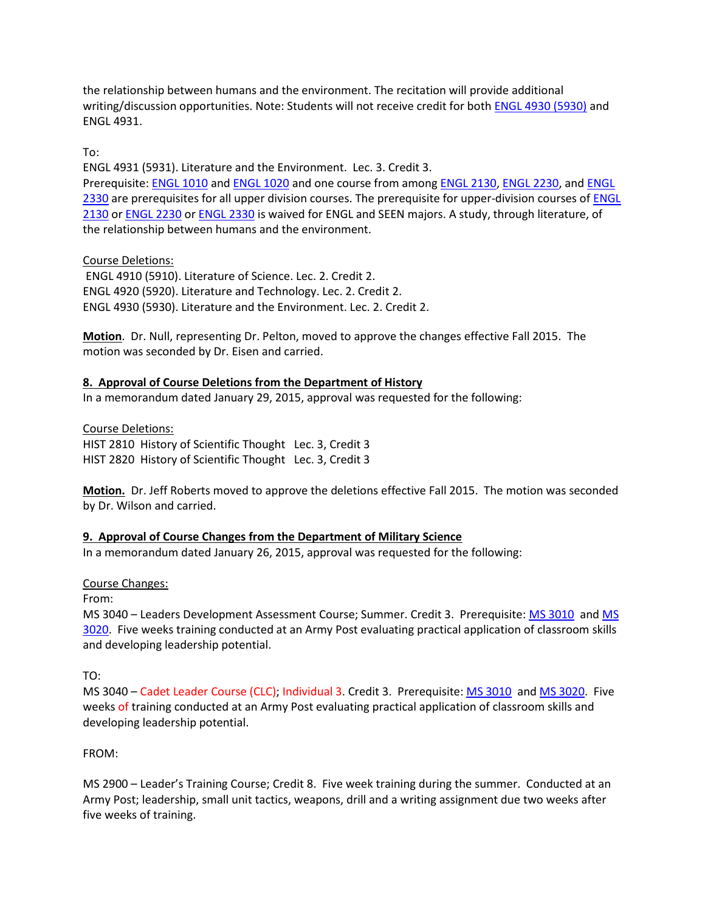the relationship between humans and the environment. The recitation will provide additional writing/discussion opportunities. Note: Students will not receive credit for bot[h ENGL 4930 \(5930\)](http://catalog.tntech.edu/search_advanced.php?cur_cat_oid=16&search_database=Search&search_db=Search&cpage=1&ecpage=1&ppage=1&spage=1&tpage=1&location=3&filter%5Bkeyword%5D=ENGL&filter%5Bexact_match%5D=1#tt3980) and ENGL 4931.

To:

ENGL 4931 (5931). Literature and the Environment. Lec. 3. Credit 3. Prerequisite: [ENGL 1010](http://catalog.tntech.edu/search_advanced.php?cur_cat_oid=16&search_database=Search&search_db=Search&cpage=1&ecpage=1&ppage=1&spage=1&tpage=1&location=3&filter%5Bkeyword%5D=ENGL&filter%5Bexact_match%5D=1#tt5149) and [ENGL 1020](http://catalog.tntech.edu/search_advanced.php?cur_cat_oid=16&search_database=Search&search_db=Search&cpage=1&ecpage=1&ppage=1&spage=1&tpage=1&location=3&filter%5Bkeyword%5D=ENGL&filter%5Bexact_match%5D=1#tt1820) and one course from amon[g ENGL 2130,](http://catalog.tntech.edu/search_advanced.php?cur_cat_oid=16&search_database=Search&search_db=Search&cpage=1&ecpage=1&ppage=1&spage=1&tpage=1&location=3&filter%5Bkeyword%5D=ENGL&filter%5Bexact_match%5D=1#tt7188) [ENGL 2230,](http://catalog.tntech.edu/search_advanced.php?cur_cat_oid=16&search_database=Search&search_db=Search&cpage=1&ecpage=1&ppage=1&spage=1&tpage=1&location=3&filter%5Bkeyword%5D=ENGL&filter%5Bexact_match%5D=1#tt7650) and ENGL [2330](http://catalog.tntech.edu/search_advanced.php?cur_cat_oid=16&search_database=Search&search_db=Search&cpage=1&ecpage=1&ppage=1&spage=1&tpage=1&location=3&filter%5Bkeyword%5D=ENGL&filter%5Bexact_match%5D=1#tt8062) are prerequisites for all upper division courses. The prerequisite for upper-division courses of ENGL [2130](http://catalog.tntech.edu/search_advanced.php?cur_cat_oid=16&search_database=Search&search_db=Search&cpage=1&ecpage=1&ppage=1&spage=1&tpage=1&location=3&filter%5Bkeyword%5D=ENGL&filter%5Bexact_match%5D=1#tt939) or [ENGL 2230](http://catalog.tntech.edu/search_advanced.php?cur_cat_oid=16&search_database=Search&search_db=Search&cpage=1&ecpage=1&ppage=1&spage=1&tpage=1&location=3&filter%5Bkeyword%5D=ENGL&filter%5Bexact_match%5D=1#tt2894) o[r ENGL 2330](http://catalog.tntech.edu/search_advanced.php?cur_cat_oid=16&search_database=Search&search_db=Search&cpage=1&ecpage=1&ppage=1&spage=1&tpage=1&location=3&filter%5Bkeyword%5D=ENGL&filter%5Bexact_match%5D=1#tt1735) is waived for ENGL and SEEN majors. A study, through literature, of the relationship between humans and the environment.

# Course Deletions:

ENGL 4910 (5910). Literature of Science. Lec. 2. Credit 2. ENGL 4920 (5920). Literature and Technology. Lec. 2. Credit 2. ENGL 4930 (5930). Literature and the Environment. Lec. 2. Credit 2.

**Motion**. Dr. Null, representing Dr. Pelton, moved to approve the changes effective Fall 2015. The motion was seconded by Dr. Eisen and carried.

# **8. Approval of Course Deletions from the Department of History**

In a memorandum dated January 29, 2015, approval was requested for the following:

Course Deletions: HIST 2810 History of Scientific Thought Lec. 3, Credit 3 HIST 2820 History of Scientific Thought Lec. 3, Credit 3

**Motion.** Dr. Jeff Roberts moved to approve the deletions effective Fall 2015. The motion was seconded by Dr. Wilson and carried.

# **9. Approval of Course Changes from the Department of Military Science**

In a memorandum dated January 26, 2015, approval was requested for the following:

# Course Changes:

From:

MS 3040 – Leaders Development Assessment Course; Summer. Credit 3. Prerequisite: [MS 3010](http://catalog.tntech.edu/search_advanced.php?cur_cat_oid=16&search_database=Search&search_db=Search&cpage=1&ecpage=2&ppage=1&spage=1&tpage=1&location=33&filter%5Bkeyword%5D=mS&filter%5Bexact_match%5D=1#tt9766) and [MS](http://catalog.tntech.edu/search_advanced.php?cur_cat_oid=16&search_database=Search&search_db=Search&cpage=1&ecpage=2&ppage=1&spage=1&tpage=1&location=33&filter%5Bkeyword%5D=mS&filter%5Bexact_match%5D=1#tt4224)  [3020.](http://catalog.tntech.edu/search_advanced.php?cur_cat_oid=16&search_database=Search&search_db=Search&cpage=1&ecpage=2&ppage=1&spage=1&tpage=1&location=33&filter%5Bkeyword%5D=mS&filter%5Bexact_match%5D=1#tt4224) Five weeks training conducted at an Army Post evaluating practical application of classroom skills and developing leadership potential.

TO:

MS 3040 – Cadet Leader Course (CLC); Individual 3. Credit 3. Prerequisite: [MS 3010](http://catalog.tntech.edu/search_advanced.php?cur_cat_oid=16&search_database=Search&search_db=Search&cpage=1&ecpage=2&ppage=1&spage=1&tpage=1&location=33&filter%5Bkeyword%5D=mS&filter%5Bexact_match%5D=1#tt9766) an[d MS 3020.](http://catalog.tntech.edu/search_advanced.php?cur_cat_oid=16&search_database=Search&search_db=Search&cpage=1&ecpage=2&ppage=1&spage=1&tpage=1&location=33&filter%5Bkeyword%5D=mS&filter%5Bexact_match%5D=1#tt4224) Five weeks of training conducted at an Army Post evaluating practical application of classroom skills and developing leadership potential.

FROM:

MS 2900 – Leader's Training Course; Credit 8. Five week training during the summer. Conducted at an Army Post; leadership, small unit tactics, weapons, drill and a writing assignment due two weeks after five weeks of training.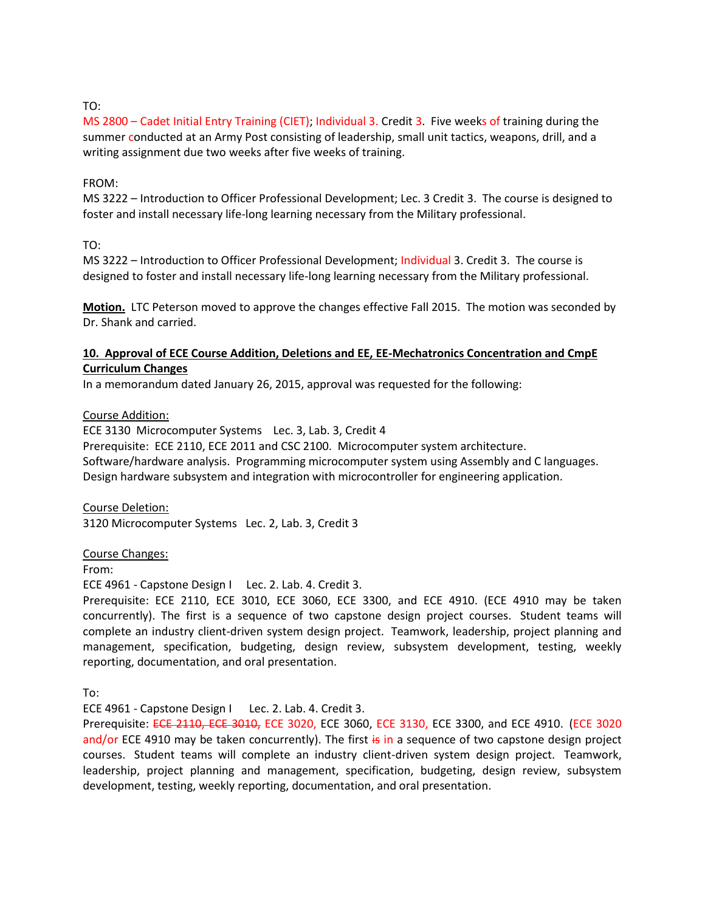## TO:

MS 2800 – Cadet Initial Entry Training (CIET); Individual 3. Credit 3. Five weeks of training during the summer conducted at an Army Post consisting of leadership, small unit tactics, weapons, drill, and a writing assignment due two weeks after five weeks of training.

#### FROM:

MS 3222 – Introduction to Officer Professional Development; Lec. 3 Credit 3. The course is designed to foster and install necessary life-long learning necessary from the Military professional.

TO:

MS 3222 – Introduction to Officer Professional Development; Individual 3. Credit 3. The course is designed to foster and install necessary life-long learning necessary from the Military professional.

**Motion.** LTC Peterson moved to approve the changes effective Fall 2015. The motion was seconded by Dr. Shank and carried.

## **10. Approval of ECE Course Addition, Deletions and EE, EE-Mechatronics Concentration and CmpE Curriculum Changes**

In a memorandum dated January 26, 2015, approval was requested for the following:

#### Course Addition:

ECE 3130 Microcomputer Systems Lec. 3, Lab. 3, Credit 4 Prerequisite: ECE 2110, ECE 2011 and CSC 2100. Microcomputer system architecture. Software/hardware analysis. Programming microcomputer system using Assembly and C languages. Design hardware subsystem and integration with microcontroller for engineering application.

Course Deletion: 3120 Microcomputer Systems Lec. 2, Lab. 3, Credit 3

#### Course Changes:

From:

ECE 4961 - Capstone Design I Lec. 2. Lab. 4. Credit 3.

Prerequisite: ECE 2110, ECE 3010, ECE 3060, ECE 3300, and ECE 4910. (ECE 4910 may be taken concurrently). The first is a sequence of two capstone design project courses. Student teams will complete an industry client-driven system design project. Teamwork, leadership, project planning and management, specification, budgeting, design review, subsystem development, testing, weekly reporting, documentation, and oral presentation.

To:

ECE 4961 - Capstone Design I Lec. 2. Lab. 4. Credit 3.

Prerequisite: ECE 2110, ECE 3010, ECE 3020, ECE 3060, ECE 3130, ECE 3300, and ECE 4910. (ECE 3020 and/or ECE 4910 may be taken concurrently). The first is in a sequence of two capstone design project courses. Student teams will complete an industry client-driven system design project. Teamwork, leadership, project planning and management, specification, budgeting, design review, subsystem development, testing, weekly reporting, documentation, and oral presentation.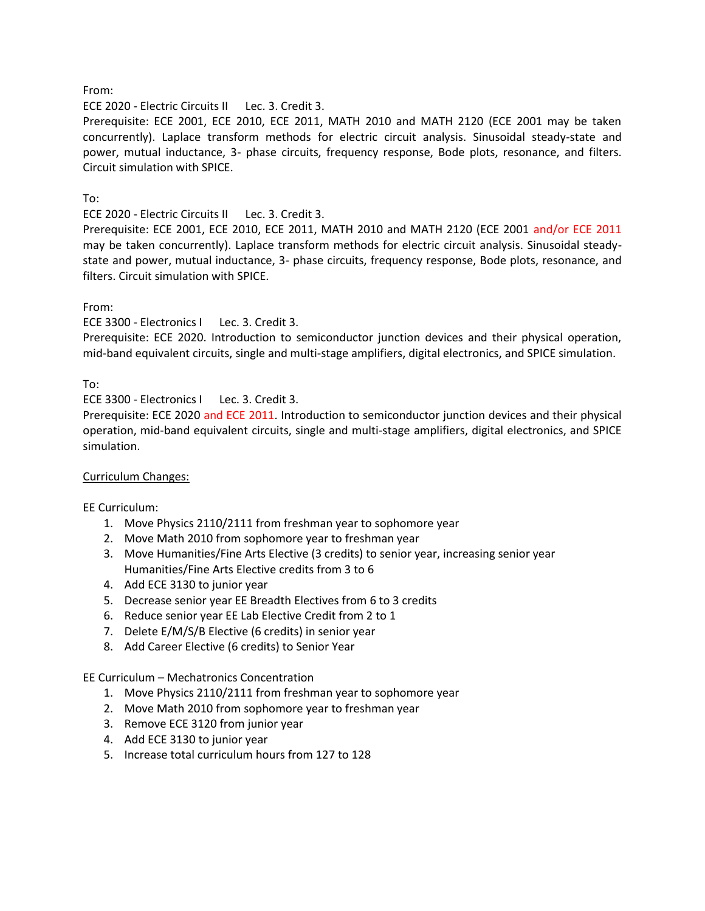## From:

ECE 2020 - Electric Circuits II Lec. 3. Credit 3.

Prerequisite: ECE 2001, ECE 2010, ECE 2011, MATH 2010 and MATH 2120 (ECE 2001 may be taken concurrently). Laplace transform methods for electric circuit analysis. Sinusoidal steady-state and power, mutual inductance, 3- phase circuits, frequency response, Bode plots, resonance, and filters. Circuit simulation with SPICE.

## To:

ECE 2020 - Electric Circuits II Lec. 3. Credit 3.

Prerequisite: ECE 2001, ECE 2010, ECE 2011, MATH 2010 and MATH 2120 (ECE 2001 and/or ECE 2011 may be taken concurrently). Laplace transform methods for electric circuit analysis. Sinusoidal steadystate and power, mutual inductance, 3- phase circuits, frequency response, Bode plots, resonance, and filters. Circuit simulation with SPICE.

## From:

ECE 3300 - Electronics I Lec. 3. Credit 3.

Prerequisite: ECE 2020. Introduction to semiconductor junction devices and their physical operation, mid-band equivalent circuits, single and multi-stage amplifiers, digital electronics, and SPICE simulation.

To:

ECE 3300 - Electronics I Lec. 3. Credit 3.

Prerequisite: ECE 2020 and ECE 2011. Introduction to semiconductor junction devices and their physical operation, mid-band equivalent circuits, single and multi-stage amplifiers, digital electronics, and SPICE simulation.

## Curriculum Changes:

EE Curriculum:

- 1. Move Physics 2110/2111 from freshman year to sophomore year
- 2. Move Math 2010 from sophomore year to freshman year
- 3. Move Humanities/Fine Arts Elective (3 credits) to senior year, increasing senior year Humanities/Fine Arts Elective credits from 3 to 6
- 4. Add ECE 3130 to junior year
- 5. Decrease senior year EE Breadth Electives from 6 to 3 credits
- 6. Reduce senior year EE Lab Elective Credit from 2 to 1
- 7. Delete E/M/S/B Elective (6 credits) in senior year
- 8. Add Career Elective (6 credits) to Senior Year

EE Curriculum – Mechatronics Concentration

- 1. Move Physics 2110/2111 from freshman year to sophomore year
- 2. Move Math 2010 from sophomore year to freshman year
- 3. Remove ECE 3120 from junior year
- 4. Add ECE 3130 to junior year
- 5. Increase total curriculum hours from 127 to 128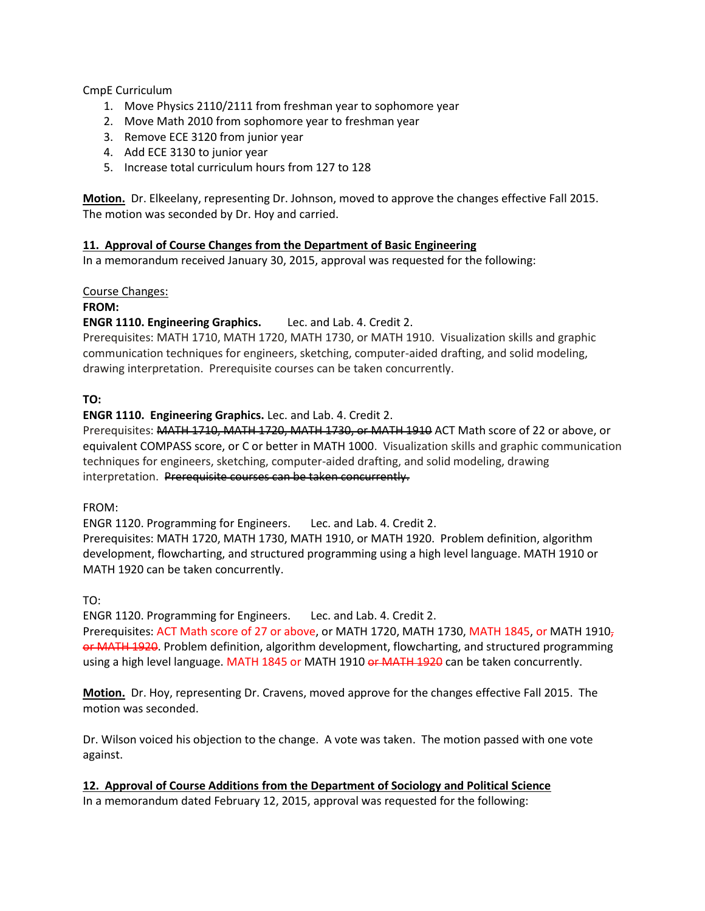CmpE Curriculum

- 1. Move Physics 2110/2111 from freshman year to sophomore year
- 2. Move Math 2010 from sophomore year to freshman year
- 3. Remove ECE 3120 from junior year
- 4. Add ECE 3130 to junior year
- 5. Increase total curriculum hours from 127 to 128

**Motion.** Dr. Elkeelany, representing Dr. Johnson, moved to approve the changes effective Fall 2015. The motion was seconded by Dr. Hoy and carried.

## **11. Approval of Course Changes from the Department of Basic Engineering**

In a memorandum received January 30, 2015, approval was requested for the following:

## Course Changes:

## **FROM:**

## **ENGR 1110. Engineering Graphics.** Lec. and Lab. 4. Credit 2.

Prerequisites: MATH 1710, MATH 1720, MATH 1730, or MATH 1910. Visualization skills and graphic communication techniques for engineers, sketching, computer-aided drafting, and solid modeling, drawing interpretation. Prerequisite courses can be taken concurrently.

## **TO:**

**ENGR 1110. Engineering Graphics.** Lec. and Lab. 4. Credit 2.

Prerequisites: MATH 1710, MATH 1720, MATH 1730, or MATH 1910 ACT Math score of 22 or above, or equivalent COMPASS score, or C or better in MATH 1000. Visualization skills and graphic communication techniques for engineers, sketching, computer-aided drafting, and solid modeling, drawing interpretation. Prerequisite courses can be taken concurrently.

FROM:

ENGR 1120. Programming for Engineers. Lec. and Lab. 4. Credit 2.

Prerequisites: MATH 1720, MATH 1730, MATH 1910, or MATH 1920. Problem definition, algorithm development, flowcharting, and structured programming using a high level language. MATH 1910 or MATH 1920 can be taken concurrently.

# TO:

ENGR 1120. Programming for Engineers. Lec. and Lab. 4. Credit 2.

Prerequisites: ACT Math score of 27 or above, or MATH 1720, MATH 1730, MATH 1845, or MATH 1910<sub>7</sub> or MATH 1920. Problem definition, algorithm development, flowcharting, and structured programming using a high level language. MATH 1845 or MATH 1910 or MATH 1920 can be taken concurrently.

**Motion.** Dr. Hoy, representing Dr. Cravens, moved approve for the changes effective Fall 2015. The motion was seconded.

Dr. Wilson voiced his objection to the change. A vote was taken. The motion passed with one vote against.

**12. Approval of Course Additions from the Department of Sociology and Political Science**

In a memorandum dated February 12, 2015, approval was requested for the following: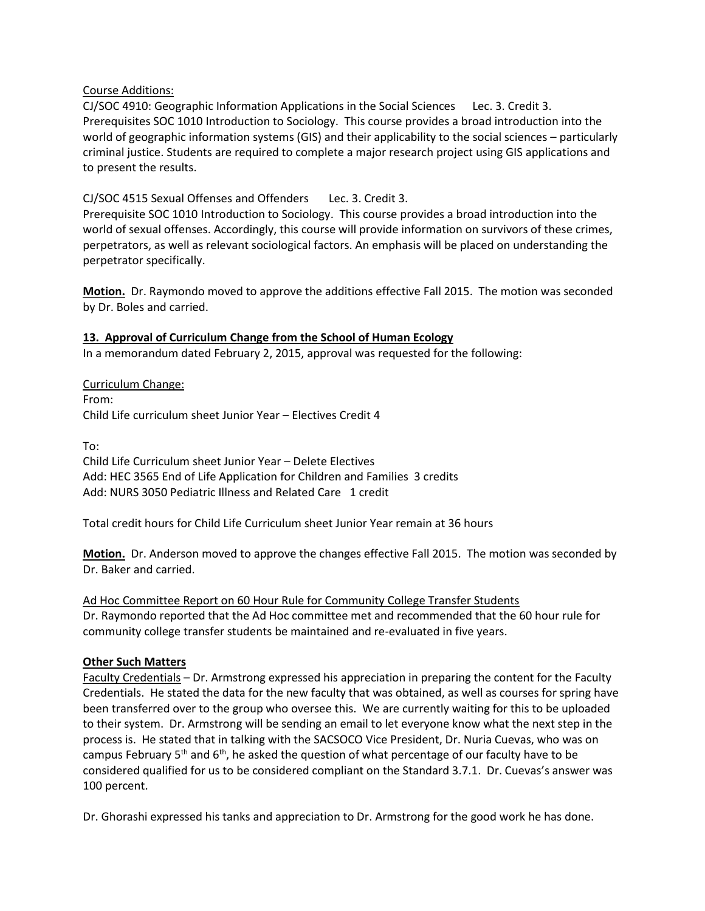## Course Additions:

CJ/SOC 4910: Geographic Information Applications in the Social Sciences Lec. 3. Credit 3. Prerequisites SOC 1010 Introduction to Sociology. This course provides a broad introduction into the world of geographic information systems (GIS) and their applicability to the social sciences – particularly criminal justice. Students are required to complete a major research project using GIS applications and to present the results.

CJ/SOC 4515 Sexual Offenses and Offenders Lec. 3. Credit 3. Prerequisite SOC 1010 Introduction to Sociology. This course provides a broad introduction into the world of sexual offenses. Accordingly, this course will provide information on survivors of these crimes, perpetrators, as well as relevant sociological factors. An emphasis will be placed on understanding the perpetrator specifically.

**Motion.** Dr. Raymondo moved to approve the additions effective Fall 2015. The motion was seconded by Dr. Boles and carried.

## **13. Approval of Curriculum Change from the School of Human Ecology**

In a memorandum dated February 2, 2015, approval was requested for the following:

Curriculum Change: From: Child Life curriculum sheet Junior Year – Electives Credit 4

To: Child Life Curriculum sheet Junior Year – Delete Electives Add: HEC 3565 End of Life Application for Children and Families 3 credits Add: NURS 3050 Pediatric Illness and Related Care 1 credit

Total credit hours for Child Life Curriculum sheet Junior Year remain at 36 hours

**Motion.** Dr. Anderson moved to approve the changes effective Fall 2015. The motion was seconded by Dr. Baker and carried.

Ad Hoc Committee Report on 60 Hour Rule for Community College Transfer Students Dr. Raymondo reported that the Ad Hoc committee met and recommended that the 60 hour rule for community college transfer students be maintained and re-evaluated in five years.

## **Other Such Matters**

Faculty Credentials – Dr. Armstrong expressed his appreciation in preparing the content for the Faculty Credentials. He stated the data for the new faculty that was obtained, as well as courses for spring have been transferred over to the group who oversee this. We are currently waiting for this to be uploaded to their system. Dr. Armstrong will be sending an email to let everyone know what the next step in the process is. He stated that in talking with the SACSOCO Vice President, Dr. Nuria Cuevas, who was on campus February  $5<sup>th</sup>$  and  $6<sup>th</sup>$ , he asked the question of what percentage of our faculty have to be considered qualified for us to be considered compliant on the Standard 3.7.1. Dr. Cuevas's answer was 100 percent.

Dr. Ghorashi expressed his tanks and appreciation to Dr. Armstrong for the good work he has done.